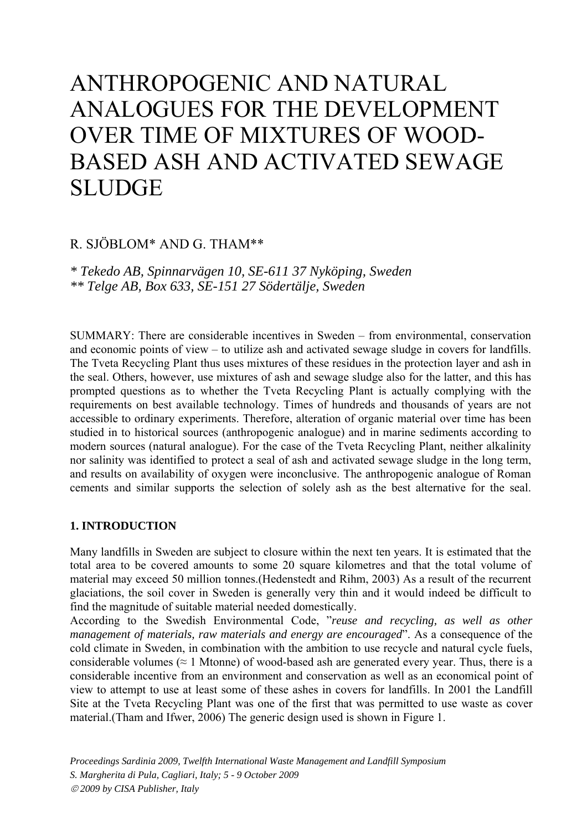# ANTHROPOGENIC AND NATURAL ANALOGUES FOR THE DEVELOPMENT OVER TIME OF MIXTURES OF WOOD-BASED ASH AND ACTIVATED SEWAGE SLUDGE

# R. SJÖBLOM\* AND G. THAM\*\*

*\* Tekedo AB, Spinnarvägen 10, SE-611 37 Nyköping, Sweden \*\* Telge AB, Box 633, SE-151 27 Södertälje, Sweden* 

SUMMARY: There are considerable incentives in Sweden – from environmental, conservation and economic points of view – to utilize ash and activated sewage sludge in covers for landfills. The Tveta Recycling Plant thus uses mixtures of these residues in the protection layer and ash in the seal. Others, however, use mixtures of ash and sewage sludge also for the latter, and this has prompted questions as to whether the Tveta Recycling Plant is actually complying with the requirements on best available technology. Times of hundreds and thousands of years are not accessible to ordinary experiments. Therefore, alteration of organic material over time has been studied in to historical sources (anthropogenic analogue) and in marine sediments according to modern sources (natural analogue). For the case of the Tveta Recycling Plant, neither alkalinity nor salinity was identified to protect a seal of ash and activated sewage sludge in the long term, and results on availability of oxygen were inconclusive. The anthropogenic analogue of Roman cements and similar supports the selection of solely ash as the best alternative for the seal.

# **1. INTRODUCTION**

Many landfills in Sweden are subject to closure within the next ten years. It is estimated that the total area to be covered amounts to some 20 square kilometres and that the total volume of material may exceed 50 million tonnes.(Hedenstedt and Rihm, 2003) As a result of the recurrent glaciations, the soil cover in Sweden is generally very thin and it would indeed be difficult to find the magnitude of suitable material needed domestically.

According to the Swedish Environmental Code, "*reuse and recycling, as well as other management of materials, raw materials and energy are encouraged*". As a consequence of the cold climate in Sweden, in combination with the ambition to use recycle and natural cycle fuels, considerable volumes ( $\approx 1$  Mtonne) of wood-based ash are generated every year. Thus, there is a considerable incentive from an environment and conservation as well as an economical point of view to attempt to use at least some of these ashes in covers for landfills. In 2001 the Landfill Site at the Tveta Recycling Plant was one of the first that was permitted to use waste as cover material.(Tham and Ifwer, 2006) The generic design used is shown in Figure 1.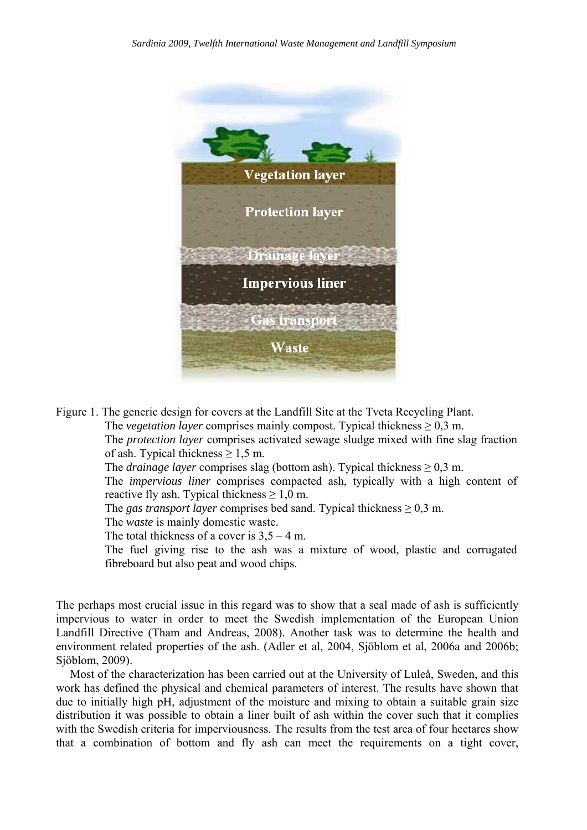

Figure 1. The generic design for covers at the Landfill Site at the Tveta Recycling Plant. The *vegetation layer* comprises mainly compost. Typical thickness  $\geq 0.3$  m. The *protection layer* comprises activated sewage sludge mixed with fine slag fraction of ash. Typical thickness  $\geq 1.5$  m. The *drainage layer* comprises slag (bottom ash). Typical thickness  $\geq 0.3$  m. The *impervious liner* comprises compacted ash, typically with a high content of reactive fly ash. Typical thickness  $\geq 1.0$  m. The *gas transport layer* comprises bed sand. Typical thickness  $\geq 0.3$  m. The *waste* is mainly domestic waste. The total thickness of a cover is  $3.5 - 4$  m. The fuel giving rise to the ash was a mixture of wood, plastic and corrugated fibreboard but also peat and wood chips.

The perhaps most crucial issue in this regard was to show that a seal made of ash is sufficiently impervious to water in order to meet the Swedish implementation of the European Union Landfill Directive (Tham and Andreas, 2008). Another task was to determine the health and environment related properties of the ash. (Adler et al, 2004, Sjöblom et al, 2006a and 2006b; Sjöblom, 2009).

Most of the characterization has been carried out at the University of Luleå, Sweden, and this work has defined the physical and chemical parameters of interest. The results have shown that due to initially high pH, adjustment of the moisture and mixing to obtain a suitable grain size distribution it was possible to obtain a liner built of ash within the cover such that it complies with the Swedish criteria for imperviousness. The results from the test area of four hectares show that a combination of bottom and fly ash can meet the requirements on a tight cover,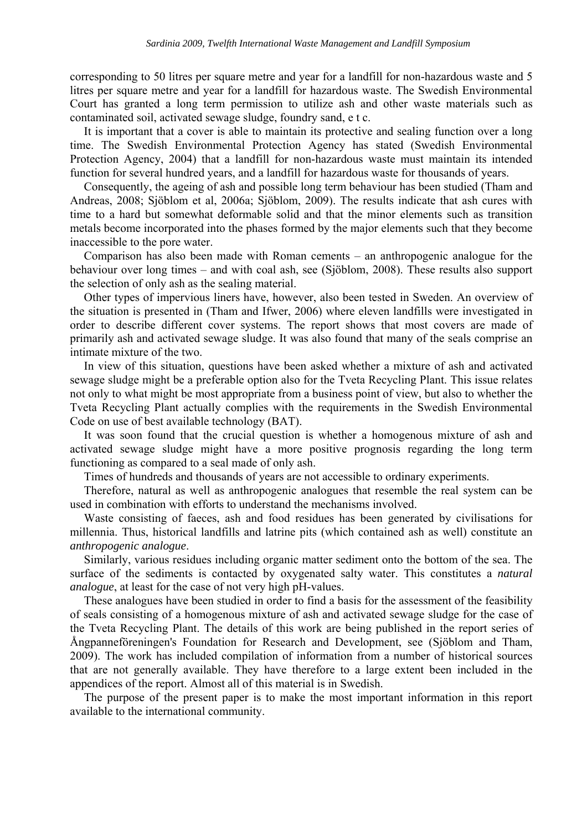corresponding to 50 litres per square metre and year for a landfill for non-hazardous waste and 5 litres per square metre and year for a landfill for hazardous waste. The Swedish Environmental Court has granted a long term permission to utilize ash and other waste materials such as contaminated soil, activated sewage sludge, foundry sand, e t c.

It is important that a cover is able to maintain its protective and sealing function over a long time. The Swedish Environmental Protection Agency has stated (Swedish Environmental Protection Agency, 2004) that a landfill for non-hazardous waste must maintain its intended function for several hundred years, and a landfill for hazardous waste for thousands of years.

Consequently, the ageing of ash and possible long term behaviour has been studied (Tham and Andreas, 2008; Sjöblom et al, 2006a; Sjöblom, 2009). The results indicate that ash cures with time to a hard but somewhat deformable solid and that the minor elements such as transition metals become incorporated into the phases formed by the major elements such that they become inaccessible to the pore water.

Comparison has also been made with Roman cements – an anthropogenic analogue for the behaviour over long times – and with coal ash, see (Sjöblom, 2008). These results also support the selection of only ash as the sealing material.

Other types of impervious liners have, however, also been tested in Sweden. An overview of the situation is presented in (Tham and Ifwer, 2006) where eleven landfills were investigated in order to describe different cover systems. The report shows that most covers are made of primarily ash and activated sewage sludge. It was also found that many of the seals comprise an intimate mixture of the two.

In view of this situation, questions have been asked whether a mixture of ash and activated sewage sludge might be a preferable option also for the Tveta Recycling Plant. This issue relates not only to what might be most appropriate from a business point of view, but also to whether the Tveta Recycling Plant actually complies with the requirements in the Swedish Environmental Code on use of best available technology (BAT).

It was soon found that the crucial question is whether a homogenous mixture of ash and activated sewage sludge might have a more positive prognosis regarding the long term functioning as compared to a seal made of only ash.

Times of hundreds and thousands of years are not accessible to ordinary experiments.

Therefore, natural as well as anthropogenic analogues that resemble the real system can be used in combination with efforts to understand the mechanisms involved.

Waste consisting of faeces, ash and food residues has been generated by civilisations for millennia. Thus, historical landfills and latrine pits (which contained ash as well) constitute an *anthropogenic analogue*.

Similarly, various residues including organic matter sediment onto the bottom of the sea. The surface of the sediments is contacted by oxygenated salty water. This constitutes a *natural analogue*, at least for the case of not very high pH-values.

These analogues have been studied in order to find a basis for the assessment of the feasibility of seals consisting of a homogenous mixture of ash and activated sewage sludge for the case of the Tveta Recycling Plant. The details of this work are being published in the report series of Ångpanneföreningen's Foundation for Research and Development, see (Sjöblom and Tham, 2009). The work has included compilation of information from a number of historical sources that are not generally available. They have therefore to a large extent been included in the appendices of the report. Almost all of this material is in Swedish.

The purpose of the present paper is to make the most important information in this report available to the international community.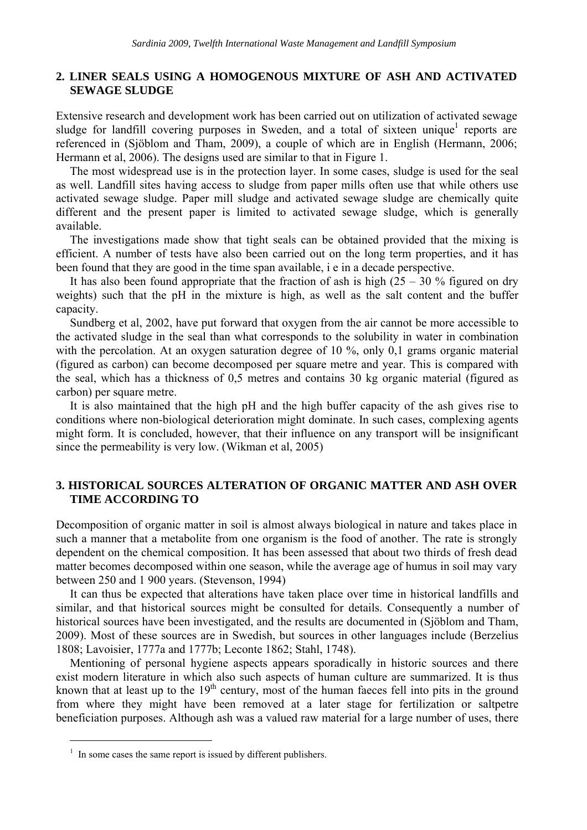# **2. LINER SEALS USING A HOMOGENOUS MIXTURE OF ASH AND ACTIVATED SEWAGE SLUDGE**

Extensive research and development work has been carried out on utilization of activated sewage sludge for landfill covering purposes in Sweden, and a total of sixteen unique<sup>1</sup> reports are referenced in (Sjöblom and Tham, 2009), a couple of which are in English (Hermann, 2006; Hermann et al, 2006). The designs used are similar to that in Figure 1.

The most widespread use is in the protection layer. In some cases, sludge is used for the seal as well. Landfill sites having access to sludge from paper mills often use that while others use activated sewage sludge. Paper mill sludge and activated sewage sludge are chemically quite different and the present paper is limited to activated sewage sludge, which is generally available.

The investigations made show that tight seals can be obtained provided that the mixing is efficient. A number of tests have also been carried out on the long term properties, and it has been found that they are good in the time span available, i e in a decade perspective.

It has also been found appropriate that the fraction of ash is high  $(25 - 30\%$  figured on dry weights) such that the pH in the mixture is high, as well as the salt content and the buffer capacity.

Sundberg et al, 2002, have put forward that oxygen from the air cannot be more accessible to the activated sludge in the seal than what corresponds to the solubility in water in combination with the percolation. At an oxygen saturation degree of 10 %, only 0,1 grams organic material (figured as carbon) can become decomposed per square metre and year. This is compared with the seal, which has a thickness of 0,5 metres and contains 30 kg organic material (figured as carbon) per square metre.

It is also maintained that the high pH and the high buffer capacity of the ash gives rise to conditions where non-biological deterioration might dominate. In such cases, complexing agents might form. It is concluded, however, that their influence on any transport will be insignificant since the permeability is very low. (Wikman et al, 2005)

# **3. HISTORICAL SOURCES ALTERATION OF ORGANIC MATTER AND ASH OVER TIME ACCORDING TO**

Decomposition of organic matter in soil is almost always biological in nature and takes place in such a manner that a metabolite from one organism is the food of another. The rate is strongly dependent on the chemical composition. It has been assessed that about two thirds of fresh dead matter becomes decomposed within one season, while the average age of humus in soil may vary between 250 and 1 900 years. (Stevenson, 1994)

It can thus be expected that alterations have taken place over time in historical landfills and similar, and that historical sources might be consulted for details. Consequently a number of historical sources have been investigated, and the results are documented in (Sjöblom and Tham, 2009). Most of these sources are in Swedish, but sources in other languages include (Berzelius 1808; Lavoisier, 1777a and 1777b; Leconte 1862; Stahl, 1748).

Mentioning of personal hygiene aspects appears sporadically in historic sources and there exist modern literature in which also such aspects of human culture are summarized. It is thus known that at least up to the 19<sup>th</sup> century, most of the human faeces fell into pits in the ground from where they might have been removed at a later stage for fertilization or saltpetre beneficiation purposes. Although ash was a valued raw material for a large number of uses, there

 $\overline{a}$ 

 $<sup>1</sup>$  In some cases the same report is issued by different publishers.</sup>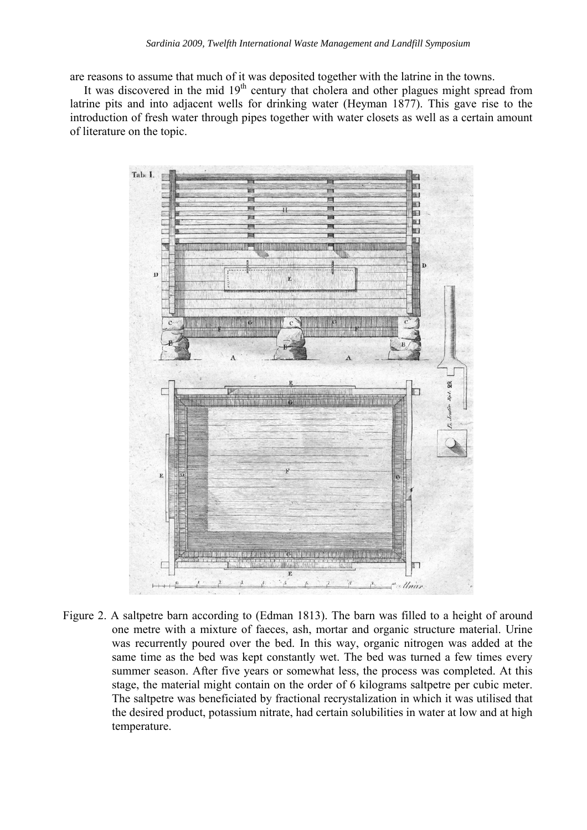are reasons to assume that much of it was deposited together with the latrine in the towns.

It was discovered in the mid  $19<sup>th</sup>$  century that cholera and other plagues might spread from latrine pits and into adjacent wells for drinking water (Heyman 1877). This gave rise to the introduction of fresh water through pipes together with water closets as well as a certain amount of literature on the topic.



Figure 2. A saltpetre barn according to (Edman 1813). The barn was filled to a height of around one metre with a mixture of faeces, ash, mortar and organic structure material. Urine was recurrently poured over the bed. In this way, organic nitrogen was added at the same time as the bed was kept constantly wet. The bed was turned a few times every summer season. After five years or somewhat less, the process was completed. At this stage, the material might contain on the order of 6 kilograms saltpetre per cubic meter. The saltpetre was beneficiated by fractional recrystalization in which it was utilised that the desired product, potassium nitrate, had certain solubilities in water at low and at high temperature.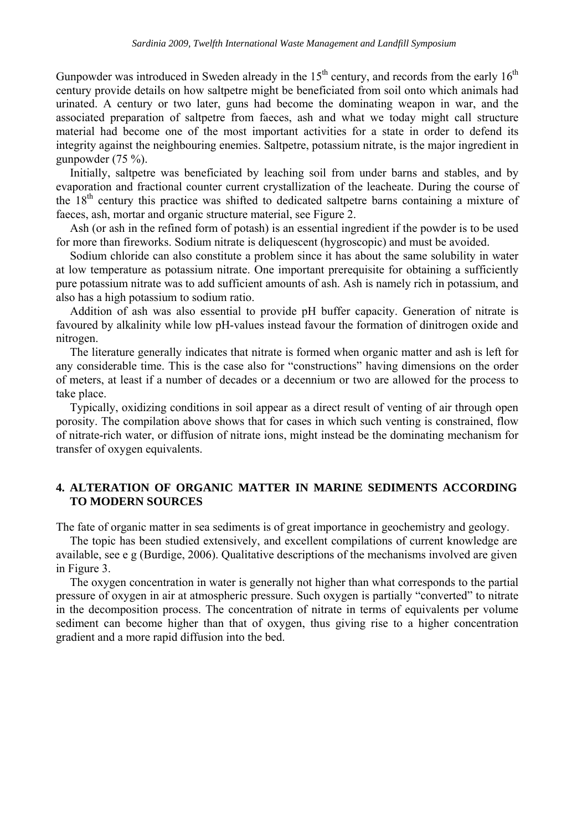Gunpowder was introduced in Sweden already in the  $15<sup>th</sup>$  century, and records from the early  $16<sup>th</sup>$ century provide details on how saltpetre might be beneficiated from soil onto which animals had urinated. A century or two later, guns had become the dominating weapon in war, and the associated preparation of saltpetre from faeces, ash and what we today might call structure material had become one of the most important activities for a state in order to defend its integrity against the neighbouring enemies. Saltpetre, potassium nitrate, is the major ingredient in gunpowder (75 %).

Initially, saltpetre was beneficiated by leaching soil from under barns and stables, and by evaporation and fractional counter current crystallization of the leacheate. During the course of the 18th century this practice was shifted to dedicated saltpetre barns containing a mixture of faeces, ash, mortar and organic structure material, see Figure 2.

Ash (or ash in the refined form of potash) is an essential ingredient if the powder is to be used for more than fireworks. Sodium nitrate is deliquescent (hygroscopic) and must be avoided.

Sodium chloride can also constitute a problem since it has about the same solubility in water at low temperature as potassium nitrate. One important prerequisite for obtaining a sufficiently pure potassium nitrate was to add sufficient amounts of ash. Ash is namely rich in potassium, and also has a high potassium to sodium ratio.

Addition of ash was also essential to provide pH buffer capacity. Generation of nitrate is favoured by alkalinity while low pH-values instead favour the formation of dinitrogen oxide and nitrogen.

The literature generally indicates that nitrate is formed when organic matter and ash is left for any considerable time. This is the case also for "constructions" having dimensions on the order of meters, at least if a number of decades or a decennium or two are allowed for the process to take place.

Typically, oxidizing conditions in soil appear as a direct result of venting of air through open porosity. The compilation above shows that for cases in which such venting is constrained, flow of nitrate-rich water, or diffusion of nitrate ions, might instead be the dominating mechanism for transfer of oxygen equivalents.

# **4. ALTERATION OF ORGANIC MATTER IN MARINE SEDIMENTS ACCORDING TO MODERN SOURCES**

The fate of organic matter in sea sediments is of great importance in geochemistry and geology.

The topic has been studied extensively, and excellent compilations of current knowledge are available, see e g (Burdige, 2006). Qualitative descriptions of the mechanisms involved are given in Figure 3.

The oxygen concentration in water is generally not higher than what corresponds to the partial pressure of oxygen in air at atmospheric pressure. Such oxygen is partially "converted" to nitrate in the decomposition process. The concentration of nitrate in terms of equivalents per volume sediment can become higher than that of oxygen, thus giving rise to a higher concentration gradient and a more rapid diffusion into the bed.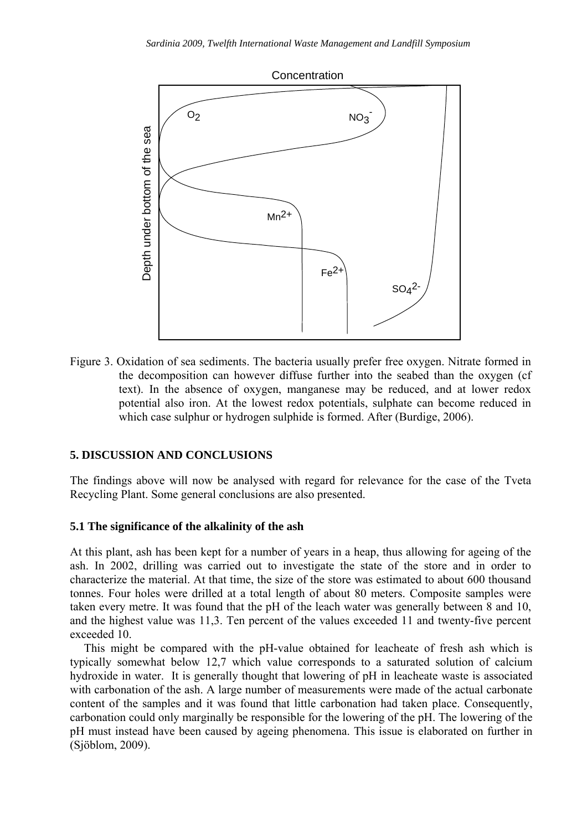

Figure 3. Oxidation of sea sediments. The bacteria usually prefer free oxygen. Nitrate formed in the decomposition can however diffuse further into the seabed than the oxygen (cf text). In the absence of oxygen, manganese may be reduced, and at lower redox potential also iron. At the lowest redox potentials, sulphate can become reduced in which case sulphur or hydrogen sulphide is formed. After (Burdige, 2006).

# **5. DISCUSSION AND CONCLUSIONS**

The findings above will now be analysed with regard for relevance for the case of the Tveta Recycling Plant. Some general conclusions are also presented.

### **5.1 The significance of the alkalinity of the ash**

At this plant, ash has been kept for a number of years in a heap, thus allowing for ageing of the ash. In 2002, drilling was carried out to investigate the state of the store and in order to characterize the material. At that time, the size of the store was estimated to about 600 thousand tonnes. Four holes were drilled at a total length of about 80 meters. Composite samples were taken every metre. It was found that the pH of the leach water was generally between 8 and 10, and the highest value was 11,3. Ten percent of the values exceeded 11 and twenty-five percent exceeded 10.

This might be compared with the pH-value obtained for leacheate of fresh ash which is typically somewhat below 12,7 which value corresponds to a saturated solution of calcium hydroxide in water. It is generally thought that lowering of pH in leacheate waste is associated with carbonation of the ash. A large number of measurements were made of the actual carbonate content of the samples and it was found that little carbonation had taken place. Consequently, carbonation could only marginally be responsible for the lowering of the pH. The lowering of the pH must instead have been caused by ageing phenomena. This issue is elaborated on further in (Sjöblom, 2009).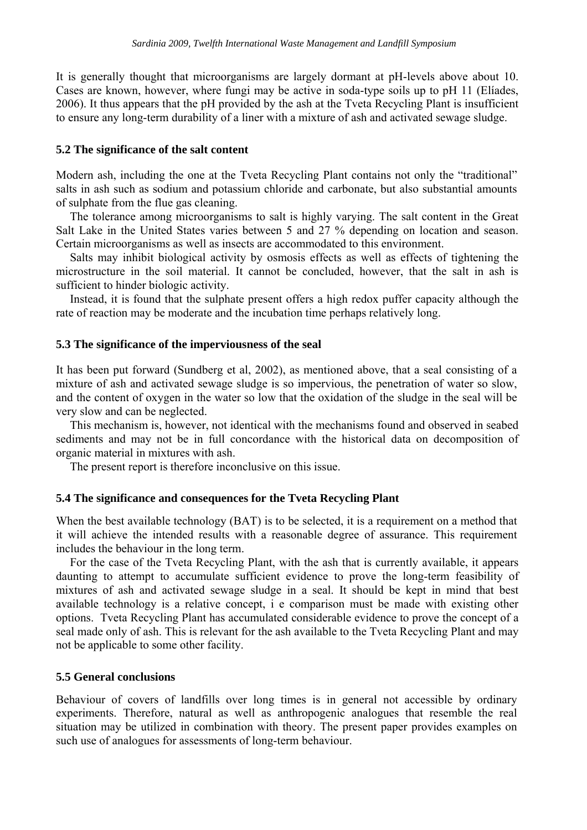It is generally thought that microorganisms are largely dormant at pH-levels above about 10. Cases are known, however, where fungi may be active in soda-type soils up to pH 11 (Elíades, 2006). It thus appears that the pH provided by the ash at the Tveta Recycling Plant is insufficient to ensure any long-term durability of a liner with a mixture of ash and activated sewage sludge.

#### **5.2 The significance of the salt content**

Modern ash, including the one at the Tveta Recycling Plant contains not only the "traditional" salts in ash such as sodium and potassium chloride and carbonate, but also substantial amounts of sulphate from the flue gas cleaning.

The tolerance among microorganisms to salt is highly varying. The salt content in the Great Salt Lake in the United States varies between 5 and 27 % depending on location and season. Certain microorganisms as well as insects are accommodated to this environment.

Salts may inhibit biological activity by osmosis effects as well as effects of tightening the microstructure in the soil material. It cannot be concluded, however, that the salt in ash is sufficient to hinder biologic activity.

Instead, it is found that the sulphate present offers a high redox puffer capacity although the rate of reaction may be moderate and the incubation time perhaps relatively long.

#### **5.3 The significance of the imperviousness of the seal**

It has been put forward (Sundberg et al, 2002), as mentioned above, that a seal consisting of a mixture of ash and activated sewage sludge is so impervious, the penetration of water so slow, and the content of oxygen in the water so low that the oxidation of the sludge in the seal will be very slow and can be neglected.

This mechanism is, however, not identical with the mechanisms found and observed in seabed sediments and may not be in full concordance with the historical data on decomposition of organic material in mixtures with ash.

The present report is therefore inconclusive on this issue.

#### **5.4 The significance and consequences for the Tveta Recycling Plant**

When the best available technology (BAT) is to be selected, it is a requirement on a method that it will achieve the intended results with a reasonable degree of assurance. This requirement includes the behaviour in the long term.

For the case of the Tveta Recycling Plant, with the ash that is currently available, it appears daunting to attempt to accumulate sufficient evidence to prove the long-term feasibility of mixtures of ash and activated sewage sludge in a seal. It should be kept in mind that best available technology is a relative concept, i e comparison must be made with existing other options. Tveta Recycling Plant has accumulated considerable evidence to prove the concept of a seal made only of ash. This is relevant for the ash available to the Tveta Recycling Plant and may not be applicable to some other facility.

# **5.5 General conclusions**

Behaviour of covers of landfills over long times is in general not accessible by ordinary experiments. Therefore, natural as well as anthropogenic analogues that resemble the real situation may be utilized in combination with theory. The present paper provides examples on such use of analogues for assessments of long-term behaviour.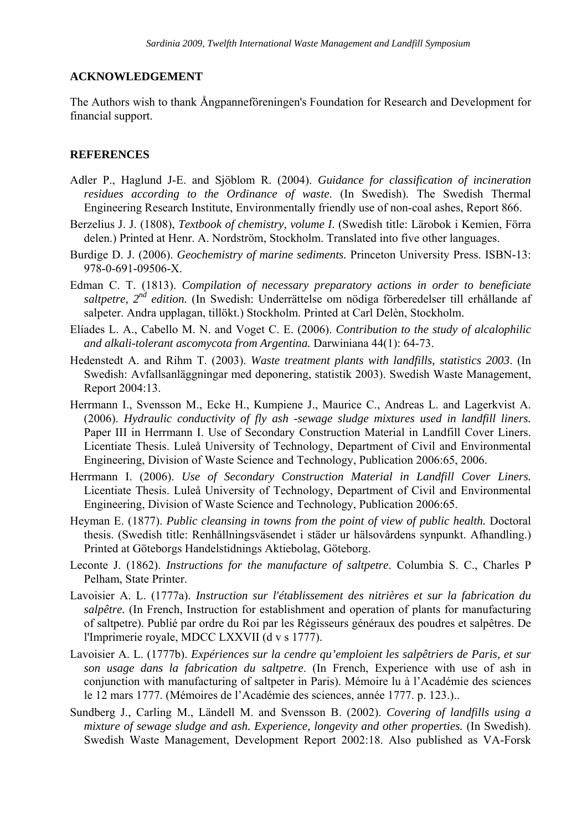# **ACKNOWLEDGEMENT**

The Authors wish to thank Ångpanneföreningen's Foundation for Research and Development for financial support.

# **REFERENCES**

- Adler P., Haglund J-E. and Sjöblom R. (2004). *Guidance for classification of incineration residues according to the Ordinance of waste*. (In Swedish). The Swedish Thermal Engineering Research Institute, Environmentally friendly use of non-coal ashes, Report 866.
- Berzelius J. J. (1808), *Textbook of chemistry, volume I*. (Swedish title: Lärobok i Kemien, Förra delen.) Printed at Henr. A. Nordström, Stockholm. Translated into five other languages.
- Burdige D. J. (2006). *Geochemistry of marine sediments.* Princeton University Press. ISBN-13: 978-0-691-09506-X.
- Edman C. T. (1813). *Compilation of necessary preparatory actions in order to beneficiate saltpetre, 2nd edition.* (In Swedish: Underrättelse om nödiga förberedelser till erhållande af salpeter. Andra upplagan, tillökt.) Stockholm. Printed at Carl Delèn, Stockholm.
- Elíades L. A., Cabello M. N. and Voget C. E. (2006). *Contribution to the study of alcalophilic and alkali-tolerant ascomycota from Argentina.* Darwiniana 44(1): 64-73.
- Hedenstedt A. and Rihm T. (2003). *Waste treatment plants with landfills, statistics 2003*. (In Swedish: Avfallsanläggningar med deponering, statistik 2003). Swedish Waste Management, Report 2004:13.
- Herrmann I., Svensson M., Ecke H., Kumpiene J., Maurice C., Andreas L. and Lagerkvist A. (2006). *Hydraulic conductivity of fly ash -sewage sludge mixtures used in landfill liners.* Paper III in Herrmann I. Use of Secondary Construction Material in Landfill Cover Liners. Licentiate Thesis. Luleå University of Technology, Department of Civil and Environmental Engineering, Division of Waste Science and Technology, Publication 2006:65, 2006.
- Herrmann I. (2006). *Use of Secondary Construction Material in Landfill Cover Liners.*  Licentiate Thesis. Luleå University of Technology, Department of Civil and Environmental Engineering, Division of Waste Science and Technology, Publication 2006:65.
- Heyman E. (1877). *Public cleansing in towns from the point of view of public health.* Doctoral thesis. (Swedish title: Renhållningsväsendet i städer ur hälsovårdens synpunkt. Afhandling.) Printed at Göteborgs Handelstidnings Aktiebolag, Göteborg.
- Leconte J. (1862). *Instructions for the manufacture of saltpetre*. Columbia S. C., Charles P Pelham, State Printer.
- Lavoisier A. L. (1777a). *Instruction sur l'établissement des nitrières et sur la fabrication du salpêtre.* (In French, Instruction for establishment and operation of plants for manufacturing of saltpetre). Publié par ordre du Roi par les Régisseurs généraux des poudres et salpêtres. De l'Imprimerie royale, MDCC LXXVII (d v s 1777).
- Lavoisier A. L. (1777b). *Expériences sur la cendre qu'emploient les salpêtriers de Paris, et sur son usage dans la fabrication du saltpetre*. (In French, Experience with use of ash in conjunction with manufacturing of saltpeter in Paris). Mémoire lu à l'Académie des sciences le 12 mars 1777. (Mémoires de l'Académie des sciences, année 1777. p. 123.)..
- Sundberg J., Carling M., Ländell M. and Svensson B. (2002). *Covering of landfills using a mixture of sewage sludge and ash. Experience, longevity and other properties.* (In Swedish). Swedish Waste Management, Development Report 2002:18. Also published as VA-Forsk